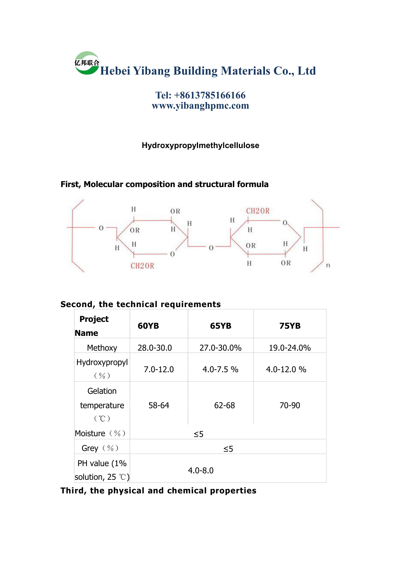

**Tel: +8613785166166 www.yibanghpmc.com**

#### **Hydroxypropylmethylcellulose**

#### **First, Molecular composition and structural formula**



#### **Second, the technical requirements**

| <b>Project</b><br><b>Name</b>             | <b>60YB</b>  | 65YB         | <b>75YB</b>    |
|-------------------------------------------|--------------|--------------|----------------|
| Methoxy                                   | 28.0-30.0    | 27.0-30.0%   | 19.0-24.0%     |
| Hydroxypropyl<br>$(\% )$                  | $7.0 - 12.0$ | $4.0 - 7.5%$ | $4.0 - 12.0 %$ |
| Gelation<br>temperature<br>(°C)           | 58-64        | 62-68        | 70-90          |
| Moisture (%)                              | $\leq$ 5     |              |                |
| Grey $(\%)$                               | $\leq$ 5     |              |                |
| PH value (1%<br>solution, 25 $\degree$ C) | $4.0 - 8.0$  |              |                |

**Third, the physical and chemical properties**